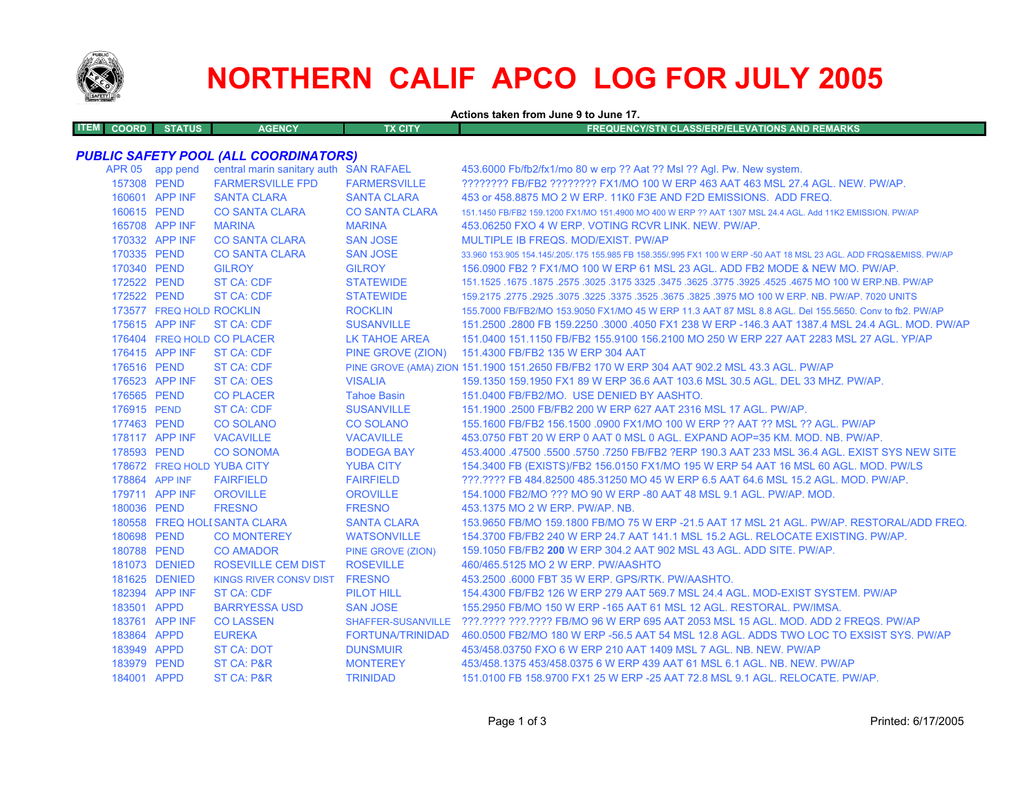

# **NORTHERN CALIF APCO LOG FOR JULY 2005**

**Actions taken from June 9 to June 17.**

| <b>ITEM COORD</b><br><b>STATUS</b> | <b>AGENCY</b> | TX CITY' | <b>FREQUENCY/STN CLASS/ERP/ELEVATIONS AND REMARKS</b> |
|------------------------------------|---------------|----------|-------------------------------------------------------|
|                                    |               |          |                                                       |

# *PUBLIC SAFETY POOL (ALL COORDINATORS)*

|             | APR 05 app pend          | central marin sanitary auth SAN RAFAEL |                       | 453.6000 Fb/fb2/fx1/mo 80 w erp ?? Aat ?? Msl ?? Agl. Pw. New system.                                               |
|-------------|--------------------------|----------------------------------------|-----------------------|---------------------------------------------------------------------------------------------------------------------|
| 157308 PEND |                          | <b>FARMERSVILLE FPD</b>                | <b>FARMERSVILLE</b>   | ???????? FB/FB2 ??????? FX1/MO 100 W ERP 463 AAT 463 MSL 27.4 AGL. NEW. PW/AP.                                      |
|             | 160601 APP INF           | <b>SANTA CLARA</b>                     | <b>SANTA CLARA</b>    | 453 or 458,8875 MO 2 W ERP, 11K0 F3E AND F2D EMISSIONS. ADD FREQ.                                                   |
| 160615 PEND |                          | <b>CO SANTA CLARA</b>                  | <b>CO SANTA CLARA</b> | 151.1450 FB/FB2 159.1200 FX1/MO 151.4900 MO 400 W ERP ?? AAT 1307 MSL 24.4 AGL. Add 11K2 EMISSION, PW/AP            |
|             | 165708 APP INF           | <b>MARINA</b>                          | <b>MARINA</b>         | 453.06250 FXO 4 W ERP. VOTING RCVR LINK. NEW. PW/AP.                                                                |
|             | 170332 APP INF           | <b>CO SANTA CLARA</b>                  | <b>SAN JOSE</b>       | MULTIPLE IB FREQS, MOD/EXIST, PW/AP                                                                                 |
| 170335 PEND |                          | <b>CO SANTA CLARA</b>                  | <b>SAN JOSE</b>       | 33.960 153.905 154.145/.205/.175 155.985 FB 158.355/.995 FX1 100 W ERP -50 AAT 18 MSL 23 AGL. ADD FRQS&EMISS. PW/AP |
| 170340 PEND |                          | <b>GILROY</b>                          | <b>GILROY</b>         | 156,0900 FB2 ? FX1/MO 100 W ERP 61 MSL 23 AGL. ADD FB2 MODE & NEW MO. PW/AP.                                        |
| 172522 PEND |                          | <b>ST CA: CDF</b>                      | <b>STATEWIDE</b>      | 1675.1675.1675 NO 100 W ERP.NB. PW/AP 325. 3475 325. 3475 325. 3475 3275 3275. 3675. 1675 1675. 1675 1675.1525      |
| 172522 PEND |                          | ST CA: CDF                             | <b>STATEWIDE</b>      | 159.2175 .2775 .2925 .3075 .3225 .3775 .3675 .3675 .3825 .3975 MO 100 W ERP. NB. PW/AP. 7020 UNITS                  |
|             | 173577 FREQ HOLD ROCKLIN |                                        | <b>ROCKLIN</b>        | 155,7000 FB/FB2/MO 153,9050 FX1/MO 45 W ERP 11.3 AAT 87 MSL 8.8 AGL, Del 155,5650, Conv to fb2, PW/AP               |
|             | 175615 APP INF           | <b>ST CA: CDF</b>                      | <b>SUSANVILLE</b>     | 151.2500 .2800 FB 159.2250 .3000 .4050 FX1 238 W ERP -146.3 AAT 1387.4 MSL 24.4 AGL. MOD. PW/AP                     |
|             |                          | 176404 FREQ HOLD CO PLACER             | <b>LK TAHOE AREA</b>  | 151.0400 151.1150 FB/FB2 155.9100 156.2100 MO 250 W ERP 227 AAT 2283 MSL 27 AGL, YP/AP                              |
|             | 176415 APP INF           | <b>ST CA: CDF</b>                      | PINE GROVE (ZION)     | 151.4300 FB/FB2 135 W ERP 304 AAT                                                                                   |
| 176516 PEND |                          | <b>ST CA: CDF</b>                      |                       | PINE GROVE (AMA) ZION 151.1900 151.2650 FB/FB2 170 W ERP 304 AAT 902.2 MSL 43.3 AGL. PW/AP                          |
|             | 176523 APP INF           | <b>ST CA: OES</b>                      | <b>VISALIA</b>        | 159.1350 159.1950 FX1 89 W ERP 36.6 AAT 103.6 MSL 30.5 AGL. DEL 33 MHZ. PW/AP.                                      |
| 176565 PEND |                          | <b>CO PLACER</b>                       | <b>Tahoe Basin</b>    | 151.0400 FB/FB2/MO. USE DENIED BY AASHTO.                                                                           |
| 176915 PEND |                          | ST CA: CDF                             | <b>SUSANVILLE</b>     | 151.1900 .2500 FB/FB2 200 W ERP 627 AAT 2316 MSL 17 AGL, PW/AP.                                                     |
| 177463 PEND |                          | <b>CO SOLANO</b>                       | <b>CO SOLANO</b>      | 155.1600 FB/FB2 156.1500 .0900 FX1/MO 100 W ERP ?? AAT ?? MSL ?? AGL. PW/AP                                         |
|             | 178117 APP INF           | <b>VACAVILLE</b>                       | <b>VACAVILLE</b>      | 453.0750 FBT 20 W ERP 0 AAT 0 MSL 0 AGL. EXPAND AOP=35 KM, MOD, NB, PW/AP,                                          |
| 178593 PEND |                          | <b>CO SONOMA</b>                       | <b>BODEGA BAY</b>     | 453.4000 .47500 .5500 .5750 .7250 FB/FB2 ?ERP 190.3 AAT 233 MSL 36.4 AGL. EXIST SYS NEW SITE                        |
|             |                          | 178672 FREQ HOLD YUBA CITY             | <b>YUBA CITY</b>      | 154.3400 FB (EXISTS)/FB2 156.0150 FX1/MO 195 W ERP 54 AAT 16 MSL 60 AGL. MOD. PW/LS                                 |
|             | 178864 APP INF           | <b>FAIRFIELD</b>                       | <b>FAIRFIELD</b>      | ???.???? FB 484.82500 485.31250 MO 45 W ERP 6.5 AAT 64.6 MSL 15.2 AGL. MOD. PW/AP.                                  |
|             | 179711 APP INF           | <b>OROVILLE</b>                        | <b>OROVILLE</b>       | 154,1000 FB2/MO ??? MO 90 W ERP -80 AAT 48 MSL 9.1 AGL, PW/AP, MOD.                                                 |
| 180036 PEND |                          | <b>FRESNO</b>                          | <b>FRESNO</b>         | 453.1375 MO 2 W ERP. PW/AP. NB.                                                                                     |
|             |                          | 180558 FREQ HOLI SANTA CLARA           | <b>SANTA CLARA</b>    | 153.9650 FB/MO 159.1800 FB/MO 75 W ERP -21.5 AAT 17 MSL 21 AGL, PW/AP, RESTORAL/ADD FREQ.                           |
| 180698 PEND |                          | <b>CO MONTEREY</b>                     | <b>WATSONVILLE</b>    | 154.3700 FB/FB2 240 W ERP 24.7 AAT 141.1 MSL 15.2 AGL. RELOCATE EXISTING, PW/AP.                                    |
| 180788 PEND |                          | <b>CO AMADOR</b>                       | PINE GROVE (ZION)     | 159.1050 FB/FB2 200 W ERP 304.2 AAT 902 MSL 43 AGL, ADD SITE, PW/AP.                                                |
|             | 181073 DENIED            | <b>ROSEVILLE CEM DIST</b>              | <b>ROSEVILLE</b>      | 460/465.5125 MO 2 W ERP. PW/AASHTO                                                                                  |
|             | 181625 DENIED            | <b>KINGS RIVER CONSV DIST</b>          | <b>FRESNO</b>         | 453.2500 6000 FBT 35 W ERP. GPS/RTK. PW/AASHTO.                                                                     |
|             | 182394 APP INF           | <b>ST CA: CDF</b>                      | PILOT HILL            | 154.4300 FB/FB2 126 W ERP 279 AAT 569.7 MSL 24.4 AGL. MOD-EXIST SYSTEM. PW/AP                                       |
| 183501 APPD |                          | <b>BARRYESSA USD</b>                   | <b>SAN JOSE</b>       | 155,2950 FB/MO 150 W ERP -165 AAT 61 MSL 12 AGL, RESTORAL, PW/IMSA.                                                 |
|             | 183761 APP INF           | <b>CO LASSEN</b>                       |                       | SHAFFER-SUSANVILLE ???.???? ???.???? FB/MO 96 W ERP 695 AAT 2053 MSL 15 AGL, MOD, ADD 2 FREQS, PW/AP                |
| 183864 APPD |                          | <b>EUREKA</b>                          | FORTUNA/TRINIDAD      | 460,0500 FB2/MO 180 W ERP -56.5 AAT 54 MSL 12.8 AGL. ADDS TWO LOC TO EXSIST SYS. PW/AP                              |
| 183949 APPD |                          | <b>ST CA: DOT</b>                      | <b>DUNSMUIR</b>       | 453/458.03750 FXO 6 W ERP 210 AAT 1409 MSL 7 AGL, NB, NEW, PW/AP                                                    |
| 183979 PEND |                          | ST CA: P&R                             | <b>MONTEREY</b>       | 453/458.1375 453/458.0375 6 W ERP 439 AAT 61 MSL 6.1 AGL, NB, NEW, PW/AP                                            |
| 184001 APPD |                          | ST CA: P&R                             | <b>TRINIDAD</b>       | 151,0100 FB 158,9700 FX1 25 W ERP -25 AAT 72.8 MSL 9.1 AGL, RELOCATE, PW/AP.                                        |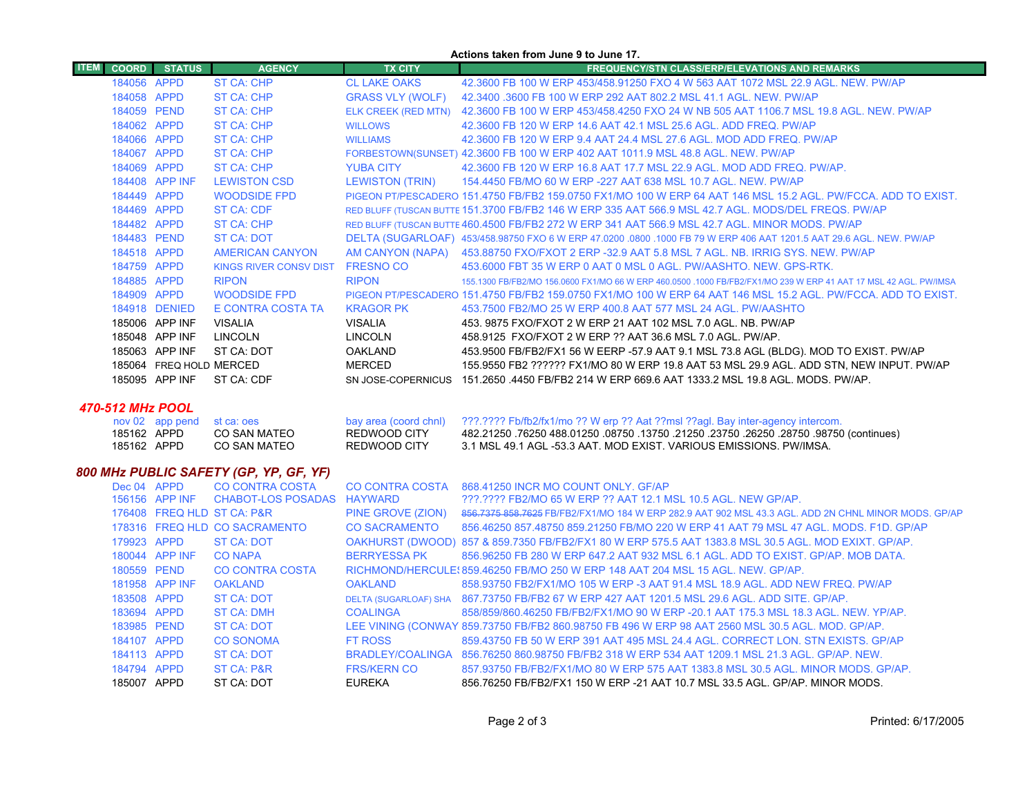|                             |                         |                               |                            | Actions taken from June 9 to June 17.                                                                               |
|-----------------------------|-------------------------|-------------------------------|----------------------------|---------------------------------------------------------------------------------------------------------------------|
| <b>ITEM</b><br><b>COORD</b> | <b>STATUS</b>           | <b>AGENCY</b>                 | <b>TX CITY</b>             | <b>FREQUENCY/STN CLASS/ERP/ELEVATIONS AND REMARKS</b>                                                               |
| 184056 APPD                 |                         | <b>ST CA: CHP</b>             | <b>CL LAKE OAKS</b>        | 42.3600 FB 100 W ERP 453/458.91250 FXO 4 W 563 AAT 1072 MSL 22.9 AGL. NEW, PW/AP                                    |
| 184058 APPD                 |                         | ST CA: CHP                    | <b>GRASS VLY (WOLF)</b>    | 42,3400,3600 FB 100 W ERP 292 AAT 802.2 MSL 41.1 AGL, NEW, PW/AP                                                    |
| 184059 PEND                 |                         | <b>ST CA: CHP</b>             | <b>ELK CREEK (RED MTN)</b> | 42,3600 FB 100 W ERP 453/458,4250 FXO 24 W NB 505 AAT 1106.7 MSL 19.8 AGL, NEW, PW/AP                               |
| 184062 APPD                 |                         | ST CA: CHP                    | <b>WILLOWS</b>             | 42.3600 FB 120 W ERP 14.6 AAT 42.1 MSL 25.6 AGL, ADD FREQ, PW/AP                                                    |
| 184066                      | APPD                    | ST CA: CHP                    | <b>WILLIAMS</b>            | 42.3600 FB 120 W ERP 9.4 AAT 24.4 MSL 27.6 AGL, MOD ADD FREQ, PW/AP                                                 |
| 184067 APPD                 |                         | <b>ST CA: CHP</b>             |                            | FORBESTOWN(SUNSET) 42.3600 FB 100 W ERP 402 AAT 1011.9 MSL 48.8 AGL. NEW. PW/AP                                     |
| 184069                      | <b>APPD</b>             | ST CA: CHP                    | <b>YUBA CITY</b>           | 42.3600 FB 120 W ERP 16.8 AAT 17.7 MSL 22.9 AGL, MOD ADD FREQ, PW/AP.                                               |
|                             | 184408 APP INF          | <b>LEWISTON CSD</b>           | <b>LEWISTON (TRIN)</b>     | 154,4450 FB/MO 60 W ERP -227 AAT 638 MSL 10.7 AGL, NEW, PW/AP                                                       |
| 184449 APPD                 |                         | WOODSIDE FPD                  |                            | PIGEON PT/PESCADERO 151.4750 FB/FB2 159.0750 FX1/MO 100 W ERP 64 AAT 146 MSL 15.2 AGL. PW/FCCA, ADD TO EXIST,       |
| 184469 APPD                 |                         | <b>ST CA: CDF</b>             |                            | RED BLUFF (TUSCAN BUTTE 151.3700 FB/FB2 146 W ERP 335 AAT 566.9 MSL 42.7 AGL. MODS/DEL FREQS. PW/AP                 |
| 184482 APPD                 |                         | <b>ST CA: CHP</b>             |                            | RED BLUFF (TUSCAN BUTTE 460.4500 FB/FB2 272 W ERP 341 AAT 566.9 MSL 42.7 AGL. MINOR MODS. PW/AP                     |
| 184483 PEND                 |                         | <b>ST CA: DOT</b>             |                            | DELTA (SUGARLOAF) 453/458.98750 FXO 6 W ERP 47.0200 .0800 .1000 FB 79 W ERP 406 AAT 1201.5 AAT 29.6 AGL. NEW. PW/AP |
| 184518 APPD                 |                         | <b>AMERICAN CANYON</b>        | AM CANYON (NAPA)           | 453.88750 FXO/FXOT 2 ERP -32.9 AAT 5.8 MSL 7 AGL. NB. IRRIG SYS. NEW. PW/AP                                         |
| 184759 APPD                 |                         | <b>KINGS RIVER CONSV DIST</b> | <b>FRESNO CO</b>           | 453,6000 FBT 35 W ERP 0 AAT 0 MSL 0 AGL, PW/AASHTO, NEW, GPS-RTK.                                                   |
| 184885 APPD                 |                         | <b>RIPON</b>                  | <b>RIPON</b>               | 155.1300 FB/FB2/MO 156.0600 FX1/MO 66 W ERP 460.0500 .1000 FB/FB2/FX1/MO 239 W ERP 41 AAT 17 MSL 42 AGL. PW/IMSA    |
| 184909 APPD                 |                         | WOODSIDE FPD                  |                            | PIGEON PT/PESCADERO 151.4750 FB/FB2 159.0750 FX1/MO 100 W ERP 64 AAT 146 MSL 15.2 AGL, PW/FCCA, ADD TO EXIST,       |
| 184918                      | <b>DENIED</b>           | E CONTRA COSTA TA             | <b>KRAGOR PK</b>           | 453.7500 FB2/MO 25 W ERP 400.8 AAT 577 MSL 24 AGL, PW/AASHTO                                                        |
|                             | 185006 APP INF          | <b>VISALIA</b>                | <b>VISALIA</b>             | 453, 9875 FXO/FXOT 2 W ERP 21 AAT 102 MSL 7.0 AGL, NB, PW/AP                                                        |
| 185048                      | APP INF                 | LINCOLN                       | <b>LINCOLN</b>             | 458.9125 FXO/FXOT 2 W ERP ?? AAT 36.6 MSL 7.0 AGL, PW/AP.                                                           |
|                             | 185063 APP INF          | ST CA: DOT                    | <b>OAKLAND</b>             | 453.9500 FB/FB2/FX1 56 W EERP -57.9 AAT 9.1 MSL 73.8 AGL (BLDG). MOD TO EXIST. PW/AP                                |
| 185064                      | <b>FREQ HOLD MERCED</b> |                               | <b>MERCED</b>              | 155.9550 FB2 ?????? FX1/MO 80 W ERP 19.8 AAT 53 MSL 29.9 AGL. ADD STN, NEW INPUT. PW/AP                             |
|                             | 185095 APP INF          | ST CA: CDF                    | SN JOSE-COPERNICUS         | 151.2650 4450 FB/FB2 214 W ERP 669.6 AAT 1333.2 MSL 19.8 AGL, MODS, PW/AP                                           |

## *470-512 MHz POOL*

|             | nov 02 app pend st ca: oes |              | bay area (coord chnl) 2??.???? Fb/fb2/fx1/mo ?? W erp ?? Aat ??msl ??agl. Bay inter-agency intercom. |
|-------------|----------------------------|--------------|------------------------------------------------------------------------------------------------------|
| 185162 APPD | CO SAN MATEO               | REDWOOD CITY | 482.21250_76250_488.01250_08750_13750_21250_23750_26250_28750_98750 (continues)                      |
| 185162 APPD | CO SAN MATEO               | REDWOOD CITY | 3.1 MSL 49.1 AGL -53.3 AAT. MOD EXIST. VARIOUS EMISSIONS. PW/IMSA.                                   |

# *800 MHz PUBLIC SAFETY (GP, YP, GF, YF)*

| Dec 04 APPD |                | <b>CO CONTRA COSTA</b>        | <b>CO CONTRA COSTA</b> | 868.41250 INCR MO COUNT ONLY. GF/AP                                                                  |
|-------------|----------------|-------------------------------|------------------------|------------------------------------------------------------------------------------------------------|
|             | 156156 APP INF | CHABOT-LOS POSADAS HAYWARD    |                        | ???.???? FB2/MO 65 W ERP ?? AAT 12.1 MSL 10.5 AGL. NEW GP/AP.                                        |
|             |                | 176408 FREQ HLD ST CA: P&R    | PINE GROVE (ZION)      | 856,7375 858,7625 FB/FB2/FX1/MO 184 W ERP 282.9 AAT 902 MSL 43.3 AGL, ADD 2N CHNL MINOR MODS, GP/AP  |
|             |                | 178316 FREQ HLD CO SACRAMENTO | <b>CO SACRAMENTO</b>   | 856.46250 857.48750 859.21250 FB/MO 220 W ERP 41 AAT 79 MSL 47 AGL, MODS, F1D, GP/AP                 |
| 179923 APPD |                | <b>ST CA: DOT</b>             |                        | OAKHURST (DWOOD) 857 & 859.7350 FB/FB2/FX1 80 W ERP 575.5 AAT 1383.8 MSL 30.5 AGL. MOD EXIXT. GP/AP. |
|             | 180044 APP INF | <b>CO NAPA</b>                | <b>BERRYESSA PK</b>    | 856,96250 FB 280 W ERP 647.2 AAT 932 MSL 6.1 AGL, ADD TO EXIST, GP/AP, MOB DATA,                     |
| 180559 PEND |                | CO CONTRA COSTA               |                        | RICHMOND/HERCULE{859,46250 FB/MO 250 W ERP 148 AAT 204 MSL 15 AGL, NEW, GP/AP,                       |
|             | 181958 APP INF | <b>OAKLAND</b>                | OAKLAND                | 858.93750 FB2/FX1/MO 105 W ERP -3 AAT 91.4 MSL 18.9 AGL. ADD NEW FREQ. PW/AP                         |
| 183508 APPD |                | <b>ST CA: DOT</b>             |                        | DELTA (SUGARLOAF) SHA 867.73750 FB/FB2 67 W ERP 427 AAT 1201.5 MSL 29.6 AGL. ADD SITE. GP/AP.        |
| 183694 APPD |                | <b>ST CA: DMH</b>             | <b>COALINGA</b>        | 858/859/860.46250 FB/FB2/FX1/MO 90 W ERP -20.1 AAT 175.3 MSL 18.3 AGL, NEW, YP/AP,                   |
| 183985 PEND |                | <b>ST CA: DOT</b>             |                        | LEE VINING (CONWAY 859.73750 FB/FB2 860.98750 FB 496 W ERP 98 AAT 2560 MSL 30.5 AGL. MOD. GP/AP.     |
| 184107 APPD |                | <b>CO SONOMA</b>              | <b>FT ROSS</b>         | 859.43750 FB 50 W ERP 391 AAT 495 MSL 24.4 AGL, CORRECT LON, STN EXISTS, GP/AP                       |
| 184113 APPD |                | <b>ST CA: DOT</b>             |                        | BRADLEY/COALINGA 856.76250 860.98750 FB/FB2 318 W ERP 534 AAT 1209.1 MSL 21.3 AGL, GP/AP, NEW.       |
| 184794 APPD |                | <b>ST CA: P&amp;R</b>         | <b>FRS/KERN CO</b>     | 857,93750 FB/FB2/FX1/MO 80 W ERP 575 AAT 1383.8 MSL 30.5 AGL, MINOR MODS, GP/AP,                     |
| 185007 APPD |                | ST CA: DOT                    | EUREKA                 | 856.76250 FB/FB2/FX1 150 W ERP -21 AAT 10.7 MSL 33.5 AGL, GP/AP, MINOR MODS,                         |